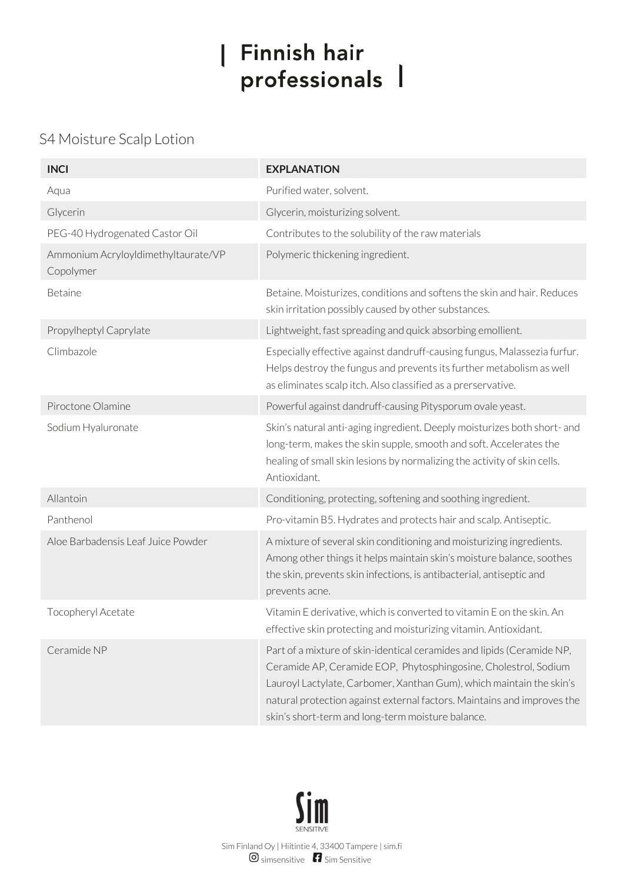## | Finnish hair professionals |

## S4 Moisture Scalp Lotion

| <b>INCI</b>                                      | <b>EXPLANATION</b>                                                                                                                                                                                                                                                                                                                                |
|--------------------------------------------------|---------------------------------------------------------------------------------------------------------------------------------------------------------------------------------------------------------------------------------------------------------------------------------------------------------------------------------------------------|
| Aqua                                             | Purified water, solvent.                                                                                                                                                                                                                                                                                                                          |
| Glycerin                                         | Glycerin, moisturizing solvent.                                                                                                                                                                                                                                                                                                                   |
| PEG-40 Hydrogenated Castor Oil                   | Contributes to the solubility of the raw materials                                                                                                                                                                                                                                                                                                |
| Ammonium AcryloyIdimethyItaurate/VP<br>Copolymer | Polymeric thickening ingredient.                                                                                                                                                                                                                                                                                                                  |
| Betaine                                          | Betaine. Moisturizes, conditions and softens the skin and hair. Reduces<br>skin irritation possibly caused by other substances.                                                                                                                                                                                                                   |
| Propylheptyl Caprylate                           | Lightweight, fast spreading and quick absorbing emollient.                                                                                                                                                                                                                                                                                        |
| Climbazole                                       | Especially effective against dandruff-causing fungus, Malassezia furfur.<br>Helps destroy the fungus and prevents its further metabolism as well<br>as eliminates scalp itch. Also classified as a prerservative.                                                                                                                                 |
| Piroctone Olamine                                | Powerful against dandruff-causing Pitysporum ovale yeast.                                                                                                                                                                                                                                                                                         |
| Sodium Hyaluronate                               | Skin's natural anti-aging ingredient. Deeply moisturizes both short- and<br>long-term, makes the skin supple, smooth and soft. Accelerates the<br>healing of small skin lesions by normalizing the activity of skin cells.<br>Antioxidant.                                                                                                        |
| Allantoin                                        | Conditioning, protecting, softening and soothing ingredient.                                                                                                                                                                                                                                                                                      |
| Panthenol                                        | Pro-vitamin B5. Hydrates and protects hair and scalp. Antiseptic.                                                                                                                                                                                                                                                                                 |
| Aloe Barbadensis Leaf Juice Powder               | A mixture of several skin conditioning and moisturizing ingredients.<br>Among other things it helps maintain skin's moisture balance, soothes<br>the skin, prevents skin infections, is antibacterial, antiseptic and<br>prevents acne.                                                                                                           |
| Tocopheryl Acetate                               | Vitamin E derivative, which is converted to vitamin E on the skin. An<br>effective skin protecting and moisturizing vitamin. Antioxidant.                                                                                                                                                                                                         |
| Ceramide NP                                      | Part of a mixture of skin-identical ceramides and lipids (Ceramide NP,<br>Ceramide AP, Ceramide EOP, Phytosphingosine, Cholestrol, Sodium<br>Lauroyl Lactylate, Carbomer, Xanthan Gum), which maintain the skin's<br>natural protection against external factors. Maintains and improves the<br>skin's short-term and long-term moisture balance. |

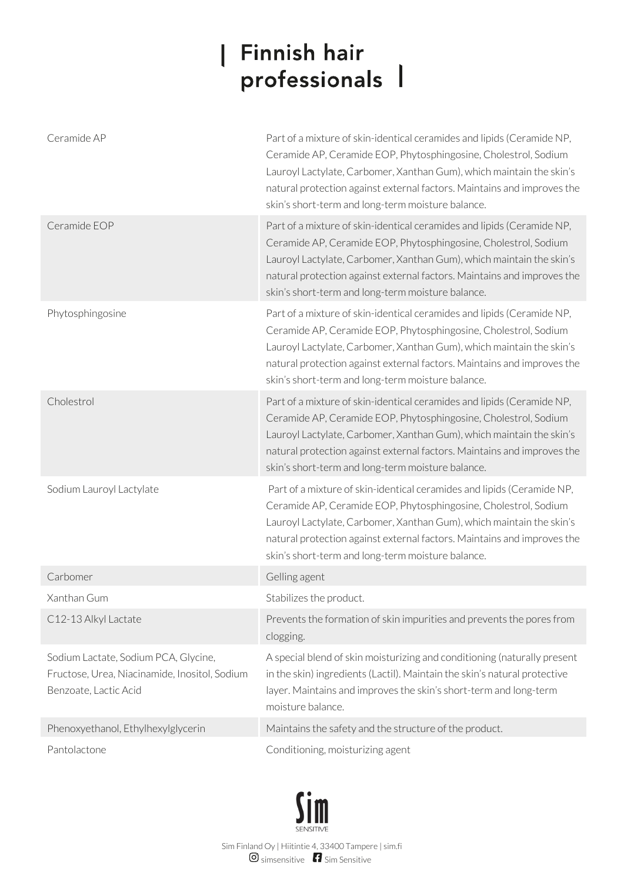## | Finnish hair professionals 1

| Ceramide AP                                                                                                    | Part of a mixture of skin-identical ceramides and lipids (Ceramide NP,<br>Ceramide AP, Ceramide EOP, Phytosphingosine, Cholestrol, Sodium<br>Lauroyl Lactylate, Carbomer, Xanthan Gum), which maintain the skin's<br>natural protection against external factors. Maintains and improves the<br>skin's short-term and long-term moisture balance. |
|----------------------------------------------------------------------------------------------------------------|---------------------------------------------------------------------------------------------------------------------------------------------------------------------------------------------------------------------------------------------------------------------------------------------------------------------------------------------------|
| Ceramide EOP                                                                                                   | Part of a mixture of skin-identical ceramides and lipids (Ceramide NP,<br>Ceramide AP, Ceramide EOP, Phytosphingosine, Cholestrol, Sodium<br>Lauroyl Lactylate, Carbomer, Xanthan Gum), which maintain the skin's<br>natural protection against external factors. Maintains and improves the<br>skin's short-term and long-term moisture balance. |
| Phytosphingosine                                                                                               | Part of a mixture of skin-identical ceramides and lipids (Ceramide NP,<br>Ceramide AP, Ceramide EOP, Phytosphingosine, Cholestrol, Sodium<br>Lauroyl Lactylate, Carbomer, Xanthan Gum), which maintain the skin's<br>natural protection against external factors. Maintains and improves the<br>skin's short-term and long-term moisture balance. |
| Cholestrol                                                                                                     | Part of a mixture of skin-identical ceramides and lipids (Ceramide NP,<br>Ceramide AP, Ceramide EOP, Phytosphingosine, Cholestrol, Sodium<br>Lauroyl Lactylate, Carbomer, Xanthan Gum), which maintain the skin's<br>natural protection against external factors. Maintains and improves the<br>skin's short-term and long-term moisture balance. |
| Sodium Lauroyl Lactylate                                                                                       | Part of a mixture of skin-identical ceramides and lipids (Ceramide NP,<br>Ceramide AP, Ceramide EOP, Phytosphingosine, Cholestrol, Sodium<br>Lauroyl Lactylate, Carbomer, Xanthan Gum), which maintain the skin's<br>natural protection against external factors. Maintains and improves the<br>skin's short-term and long-term moisture balance. |
| Carbomer                                                                                                       | Gelling agent                                                                                                                                                                                                                                                                                                                                     |
| Xanthan Gum                                                                                                    | Stabilizes the product.                                                                                                                                                                                                                                                                                                                           |
| C12-13 Alkyl Lactate                                                                                           | Prevents the formation of skin impurities and prevents the pores from<br>clogging.                                                                                                                                                                                                                                                                |
| Sodium Lactate, Sodium PCA, Glycine,<br>Fructose, Urea, Niacinamide, Inositol, Sodium<br>Benzoate, Lactic Acid | A special blend of skin moisturizing and conditioning (naturally present<br>in the skin) ingredients (Lactil). Maintain the skin's natural protective<br>layer. Maintains and improves the skin's short-term and long-term<br>moisture balance.                                                                                                   |
| Phenoxyethanol, Ethylhexylglycerin                                                                             | Maintains the safety and the structure of the product.                                                                                                                                                                                                                                                                                            |
| Pantolactone                                                                                                   | Conditioning, moisturizing agent                                                                                                                                                                                                                                                                                                                  |